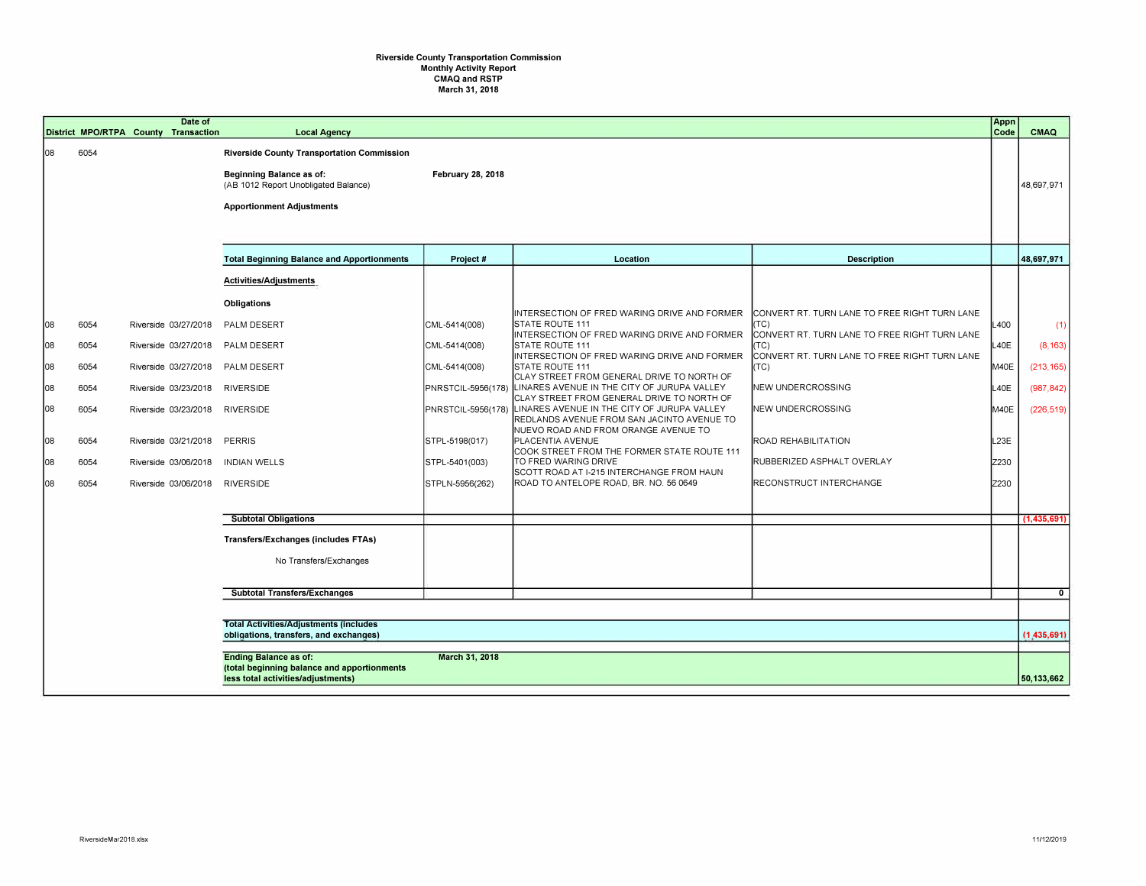## **Riverside County Transportation Commission Monthly Activity Report CMAQ and RSTP March 31, 2018**

|    |      |                                                                                          | Date of<br>District MPO/RTPA County Transaction | <b>Local Agency</b>                                                                                                                                       |                          |                                                                                                                                   |                                                       | Appn<br>Code | <b>CMAQ</b>   |
|----|------|------------------------------------------------------------------------------------------|-------------------------------------------------|-----------------------------------------------------------------------------------------------------------------------------------------------------------|--------------------------|-----------------------------------------------------------------------------------------------------------------------------------|-------------------------------------------------------|--------------|---------------|
| 08 | 6054 |                                                                                          |                                                 | Riverside County Transportation Commission<br><b>Beginning Balance as of:</b><br>(AB 1012 Report Unobligated Balance)<br><b>Apportionment Adjustments</b> | <b>February 28, 2018</b> |                                                                                                                                   |                                                       |              | 48,697,971    |
|    |      |                                                                                          |                                                 | <b>Total Beginning Balance and Apportionments</b>                                                                                                         | Project #                | Location                                                                                                                          | <b>Description</b>                                    |              | 48,697,971    |
|    |      |                                                                                          |                                                 | Activities/Adjustments                                                                                                                                    |                          |                                                                                                                                   |                                                       |              |               |
|    |      |                                                                                          |                                                 | <b>Obligations</b>                                                                                                                                        |                          | INTERSECTION OF FRED WARING DRIVE AND FORMER                                                                                      | CONVERT RT. TURN LANE TO FREE RIGHT TURN LANE         |              |               |
| 08 | 6054 |                                                                                          | Riverside 03/27/2018                            | PALM DESERT                                                                                                                                               | CML-5414(008)            | <b>STATE ROUTE 111</b><br>INTERSECTION OF FRED WARING DRIVE AND FORMER                                                            | (TC)<br>CONVERT RT. TURN LANE TO FREE RIGHT TURN LANE | L400         | (1)           |
| 08 | 6054 |                                                                                          | Riverside 03/27/2018                            | PALM DESERT                                                                                                                                               | CML-5414(008)            | <b>STATE ROUTE 111</b><br>INTERSECTION OF FRED WARING DRIVE AND FORMER                                                            | (TC)<br>CONVERT RT. TURN LANE TO FREE RIGHT TURN LANE | L40E         | (8, 163)      |
| 08 | 6054 |                                                                                          | Riverside 03/27/2018                            | PALM DESERT                                                                                                                                               | CML-5414(008)            | <b>STATE ROUTE 111</b><br>CLAY STREET FROM GENERAL DRIVE TO NORTH OF                                                              | (TC)                                                  | M40E         | (213, 165)    |
| 08 | 6054 |                                                                                          | Riverside 03/23/2018                            | <b>RIVERSIDE</b>                                                                                                                                          | PNRSTCIL-5956(178)       | LINARES AVENUE IN THE CITY OF JURUPA VALLEY<br>CLAY STREET FROM GENERAL DRIVE TO NORTH OF                                         | NEW UNDERCROSSING                                     | L40E         | (987, 842)    |
| 08 | 6054 |                                                                                          | Riverside 03/23/2018                            | <b>RIVERSIDE</b>                                                                                                                                          | PNRSTCIL-5956(178)       | LINARES AVENUE IN THE CITY OF JURUPA VALLEY<br>REDLANDS AVENUE FROM SAN JACINTO AVENUE TO<br>NUEVO ROAD AND FROM ORANGE AVENUE TO | NEW UNDERCROSSING                                     | M40E         | (226, 519)    |
| 08 | 6054 |                                                                                          | Riverside 03/21/2018                            | <b>PERRIS</b>                                                                                                                                             | STPL-5198(017)           | PLACENTIA AVENUE<br>COOK STREET FROM THE FORMER STATE ROUTE 111                                                                   | ROAD REHABILITATION                                   | L23E         |               |
| 08 | 6054 |                                                                                          | Riverside 03/06/2018                            | <b>INDIAN WELLS</b>                                                                                                                                       | STPL-5401(003)           | TO FRED WARING DRIVE<br>SCOTT ROAD AT I-215 INTERCHANGE FROM HAUN                                                                 | RUBBERIZED ASPHALT OVERLAY                            | Z230         |               |
| 08 | 6054 |                                                                                          | Riverside 03/06/2018                            | <b>RIVERSIDE</b>                                                                                                                                          | STPLN-5956(262)          | ROAD TO ANTELOPE ROAD, BR. NO. 56 0649                                                                                            | RECONSTRUCT INTERCHANGE                               | Z230         |               |
|    |      |                                                                                          |                                                 | <b>Subtotal Obligations</b>                                                                                                                               |                          |                                                                                                                                   |                                                       |              | (1,435,691)   |
|    |      |                                                                                          |                                                 | <b>Transfers/Exchanges (includes FTAs)</b>                                                                                                                |                          |                                                                                                                                   |                                                       |              |               |
|    |      |                                                                                          |                                                 | No Transfers/Exchanges                                                                                                                                    |                          |                                                                                                                                   |                                                       |              |               |
|    |      |                                                                                          |                                                 | <b>Subtotal Transfers/Exchanges</b>                                                                                                                       |                          |                                                                                                                                   |                                                       |              | $\mathbf 0$   |
|    |      |                                                                                          |                                                 |                                                                                                                                                           |                          |                                                                                                                                   |                                                       |              |               |
|    |      | <b>Total Activities/Adjustments (includes)</b><br>obligations, transfers, and exchanges) |                                                 |                                                                                                                                                           |                          |                                                                                                                                   |                                                       |              | (1, 435, 691) |
|    |      |                                                                                          |                                                 | <b>Ending Balance as of:</b><br>(total beginning balance and apportionments<br>less total activities/adjustments)                                         | March 31, 2018           |                                                                                                                                   |                                                       |              | 50,133,662    |